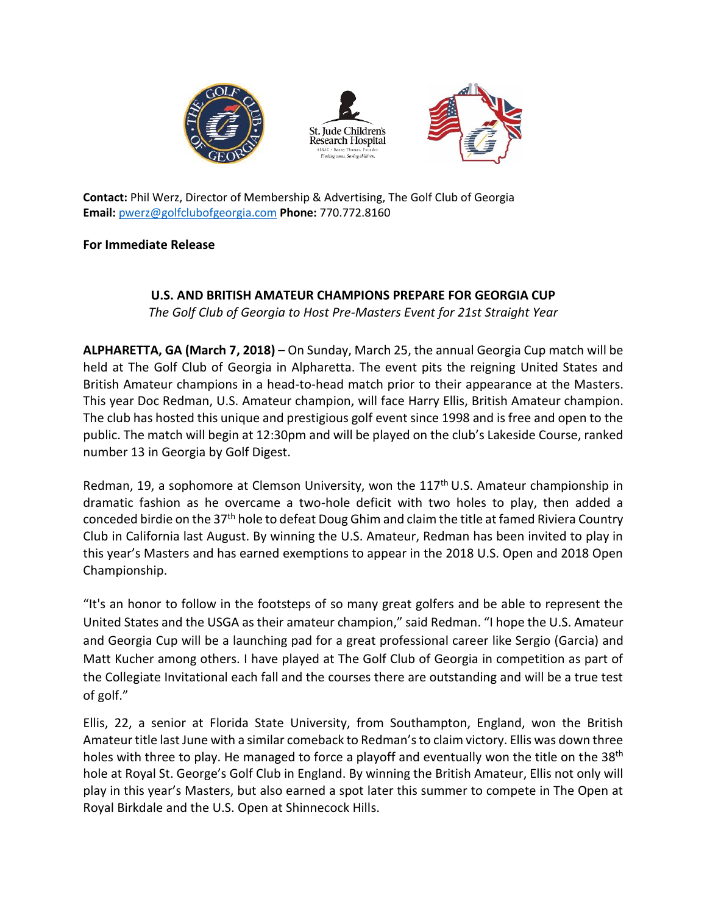





**Contact:** Phil Werz, Director of Membership & Advertising, The Golf Club of Georgia **Email:** [pwerz@golfclubofgeorgia.com](mailto:pwerz@golfclubofgeorgia.com) **Phone:** 770.772.8160

## **For Immediate Release**

## **U.S. AND BRITISH AMATEUR CHAMPIONS PREPARE FOR GEORGIA CUP**

*The Golf Club of Georgia to Host Pre-Masters Event for 21st Straight Year*

**ALPHARETTA, GA (March 7, 2018)** – On Sunday, March 25, the annual Georgia Cup match will be held at The Golf Club of Georgia in Alpharetta. The event pits the reigning United States and British Amateur champions in a head-to-head match prior to their appearance at the Masters. This year Doc Redman, U.S. Amateur champion, will face Harry Ellis, British Amateur champion. The club has hosted this unique and prestigious golf event since 1998 and is free and open to the public. The match will begin at 12:30pm and will be played on the club's Lakeside Course, ranked number 13 in Georgia by Golf Digest.

Redman, 19, a sophomore at Clemson University, won the 117<sup>th</sup> U.S. Amateur championship in dramatic fashion as he overcame a two-hole deficit with two holes to play, then added a conceded birdie on the 37th hole to defeat Doug Ghim and claim the title at famed Riviera Country Club in California last August. By winning the U.S. Amateur, Redman has been invited to play in this year's Masters and has earned exemptions to appear in the 2018 U.S. Open and 2018 Open Championship.

"It's an honor to follow in the footsteps of so many great golfers and be able to represent the United States and the USGA as their amateur champion," said Redman. "I hope the U.S. Amateur and Georgia Cup will be a launching pad for a great professional career like Sergio (Garcia) and Matt Kucher among others. I have played at The Golf Club of Georgia in competition as part of the Collegiate Invitational each fall and the courses there are outstanding and will be a true test of golf."

Ellis, 22, a senior at Florida State University, from Southampton, England, won the British Amateur title last June with a similar comeback to Redman's to claim victory. Ellis was down three holes with three to play. He managed to force a playoff and eventually won the title on the 38<sup>th</sup> hole at Royal St. George's Golf Club in England. By winning the British Amateur, Ellis not only will play in this year's Masters, but also earned a spot later this summer to compete in The Open at Royal Birkdale and the U.S. Open at Shinnecock Hills.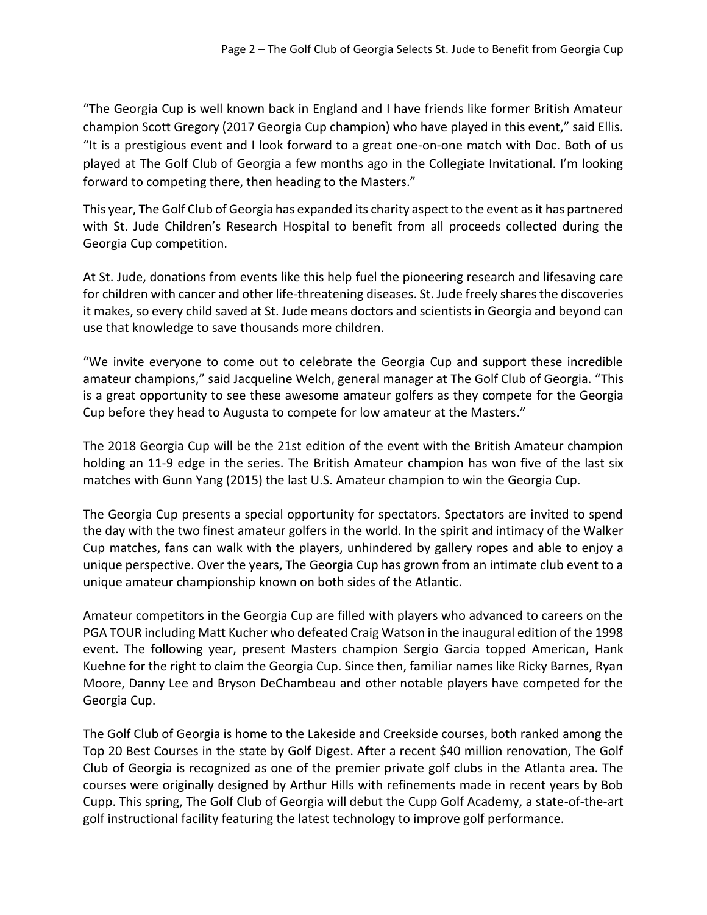"The Georgia Cup is well known back in England and I have friends like former British Amateur champion Scott Gregory (2017 Georgia Cup champion) who have played in this event," said Ellis. "It is a prestigious event and I look forward to a great one-on-one match with Doc. Both of us played at The Golf Club of Georgia a few months ago in the Collegiate Invitational. I'm looking forward to competing there, then heading to the Masters."

This year, The Golf Club of Georgia has expanded its charity aspect to the event as it has partnered with St. Jude Children's Research Hospital to benefit from all proceeds collected during the Georgia Cup competition.

At St. Jude, donations from events like this help fuel the pioneering research and lifesaving care for children with cancer and other life-threatening diseases. St. Jude freely shares the discoveries it makes, so every child saved at St. Jude means doctors and scientists in Georgia and beyond can use that knowledge to save thousands more children.

"We invite everyone to come out to celebrate the Georgia Cup and support these incredible amateur champions," said Jacqueline Welch, general manager at The Golf Club of Georgia. "This is a great opportunity to see these awesome amateur golfers as they compete for the Georgia Cup before they head to Augusta to compete for low amateur at the Masters."

The 2018 Georgia Cup will be the 21st edition of the event with the British Amateur champion holding an 11-9 edge in the series. The British Amateur champion has won five of the last six matches with Gunn Yang (2015) the last U.S. Amateur champion to win the Georgia Cup.

The Georgia Cup presents a special opportunity for spectators. Spectators are invited to spend the day with the two finest amateur golfers in the world. In the spirit and intimacy of the Walker Cup matches, fans can walk with the players, unhindered by gallery ropes and able to enjoy a unique perspective. Over the years, The Georgia Cup has grown from an intimate club event to a unique amateur championship known on both sides of the Atlantic.

Amateur competitors in the Georgia Cup are filled with players who advanced to careers on the PGA TOUR including Matt Kucher who defeated Craig Watson in the inaugural edition of the 1998 event. The following year, present Masters champion Sergio Garcia topped American, Hank Kuehne for the right to claim the Georgia Cup. Since then, familiar names like Ricky Barnes, Ryan Moore, Danny Lee and Bryson DeChambeau and other notable players have competed for the Georgia Cup.

The Golf Club of Georgia is home to the Lakeside and Creekside courses, both ranked among the Top 20 Best Courses in the state by Golf Digest. After a recent \$40 million renovation, The Golf Club of Georgia is recognized as one of the premier private golf clubs in the Atlanta area. The courses were originally designed by Arthur Hills with refinements made in recent years by Bob Cupp. This spring, The Golf Club of Georgia will debut the Cupp Golf Academy, a state-of-the-art golf instructional facility featuring the latest technology to improve golf performance.